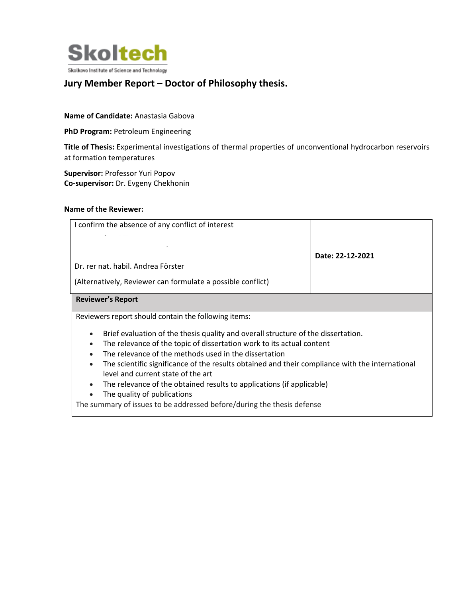

## **Jury Member Report – Doctor of Philosophy thesis.**

## **Name of Candidate:** Anastasia Gabova

**PhD Program:** Petroleum Engineering

**Title of Thesis:** Experimental investigations of thermal properties of unconventional hydrocarbon reservoirs at formation temperatures

**Supervisor:** Professor Yuri Popov **Co-supervisor:** Dr. Evgeny Chekhonin

## **Name of the Reviewer:**

| I confirm the absence of any conflict of interest                                                                                                          | Date: 22-12-2021 |
|------------------------------------------------------------------------------------------------------------------------------------------------------------|------------------|
| Dr. rer nat. habil. Andrea Förster                                                                                                                         |                  |
| (Alternatively, Reviewer can formulate a possible conflict)                                                                                                |                  |
| <b>Reviewer's Report</b>                                                                                                                                   |                  |
| Reviewers report should contain the following items:                                                                                                       |                  |
| Brief evaluation of the thesis quality and overall structure of the dissertation.<br>The relevance of the topic of dissertation work to its actual content |                  |
| The relevance of the methods used in the dissertation<br>$\bullet$                                                                                         |                  |
| The scientific significance of the results obtained and their compliance with the international<br>$\bullet$                                               |                  |
| level and current state of the art                                                                                                                         |                  |

- The relevance of the obtained results to applications (if applicable)
- The quality of publications

The summary of issues to be addressed before/during the thesis defense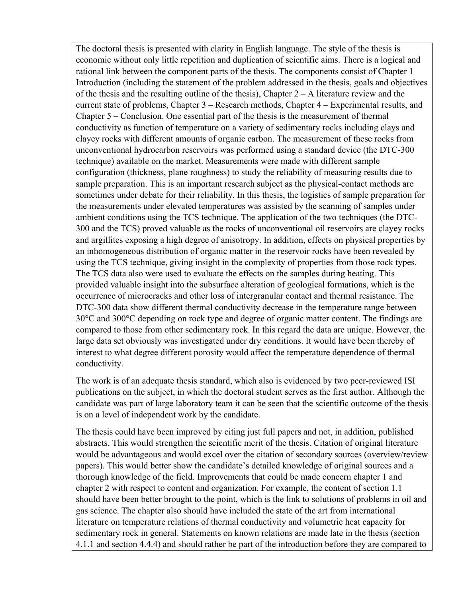The doctoral thesis is presented with clarity in English language. The style of the thesis is economic without only little repetition and duplication of scientific aims. There is a logical and rational link between the component parts of the thesis. The components consist of Chapter 1 – Introduction (including the statement of the problem addressed in the thesis, goals and objectives of the thesis and the resulting outline of the thesis), Chapter  $2 - A$  literature review and the current state of problems, Chapter 3 – Research methods, Chapter 4 – Experimental results, and Chapter 5 – Conclusion. One essential part of the thesis is the measurement of thermal conductivity as function of temperature on a variety of sedimentary rocks including clays and clayey rocks with different amounts of organic carbon. The measurement of these rocks from unconventional hydrocarbon reservoirs was performed using a standard device (the DTC-300 technique) available on the market. Measurements were made with different sample configuration (thickness, plane roughness) to study the reliability of measuring results due to sample preparation. This is an important research subject as the physical-contact methods are sometimes under debate for their reliability. In this thesis, the logistics of sample preparation for the measurements under elevated temperatures was assisted by the scanning of samples under ambient conditions using the TCS technique. The application of the two techniques (the DTC-300 and the TCS) proved valuable as the rocks of unconventional oil reservoirs are clayey rocks and argillites exposing a high degree of anisotropy. In addition, effects on physical properties by an inhomogeneous distribution of organic matter in the reservoir rocks have been revealed by using the TCS technique, giving insight in the complexity of properties from those rock types. The TCS data also were used to evaluate the effects on the samples during heating. This provided valuable insight into the subsurface alteration of geological formations, which is the occurrence of microcracks and other loss of intergranular contact and thermal resistance. The DTC-300 data show different thermal conductivity decrease in the temperature range between 30°C and 300°C depending on rock type and degree of organic matter content. The findings are compared to those from other sedimentary rock. In this regard the data are unique. However, the large data set obviously was investigated under dry conditions. It would have been thereby of interest to what degree different porosity would affect the temperature dependence of thermal conductivity.

The work is of an adequate thesis standard, which also is evidenced by two peer-reviewed ISI publications on the subject, in which the doctoral student serves as the first author. Although the candidate was part of large laboratory team it can be seen that the scientific outcome of the thesis is on a level of independent work by the candidate.

The thesis could have been improved by citing just full papers and not, in addition, published abstracts. This would strengthen the scientific merit of the thesis. Citation of original literature would be advantageous and would excel over the citation of secondary sources (overview/review papers). This would better show the candidate's detailed knowledge of original sources and a thorough knowledge of the field. Improvements that could be made concern chapter 1 and chapter 2 with respect to content and organization. For example, the content of section 1.1 should have been better brought to the point, which is the link to solutions of problems in oil and gas science. The chapter also should have included the state of the art from international literature on temperature relations of thermal conductivity and volumetric heat capacity for sedimentary rock in general. Statements on known relations are made late in the thesis (section 4.1.1 and section 4.4.4) and should rather be part of the introduction before they are compared to